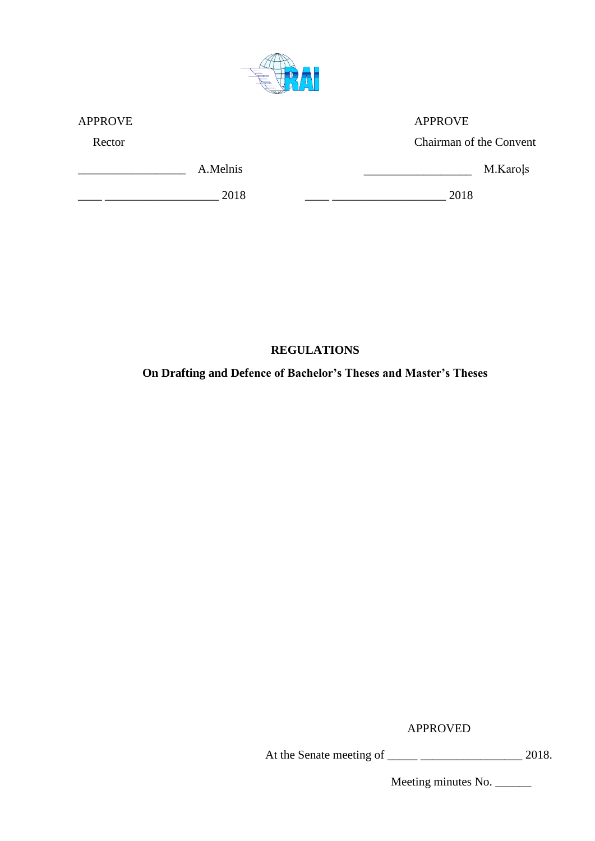

| <b>APPROVE</b> |          | <b>APPROVE</b>          |
|----------------|----------|-------------------------|
| Rector         |          | Chairman of the Convent |
|                | A.Melnis | M.Karoļs                |
|                | 2018     | 2018                    |

# **REGULATIONS**

# **On Drafting and Defence of Bachelor's Theses and Master's Theses**

APPROVED

At the Senate meeting of \_\_\_\_\_ \_\_\_\_\_\_\_\_\_\_\_\_\_\_\_\_\_ 2018.

Meeting minutes No. \_\_\_\_\_\_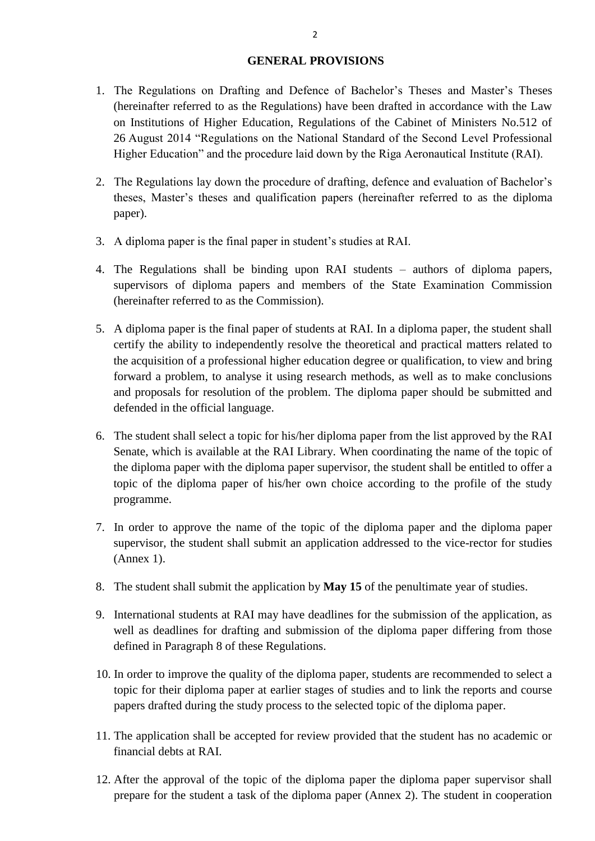### **GENERAL PROVISIONS**

- 1. The Regulations on Drafting and Defence of Bachelor's Theses and Master's Theses (hereinafter referred to as the Regulations) have been drafted in accordance with the Law on Institutions of Higher Education, Regulations of the Cabinet of Ministers No.512 of 26 August 2014 "Regulations on the National Standard of the Second Level Professional Higher Education" and the procedure laid down by the Riga Aeronautical Institute (RAI).
- 2. The Regulations lay down the procedure of drafting, defence and evaluation of Bachelor's theses, Master's theses and qualification papers (hereinafter referred to as the diploma paper).
- 3. A diploma paper is the final paper in student's studies at RAI.
- 4. The Regulations shall be binding upon RAI students authors of diploma papers, supervisors of diploma papers and members of the State Examination Commission (hereinafter referred to as the Commission).
- 5. A diploma paper is the final paper of students at RAI. In a diploma paper, the student shall certify the ability to independently resolve the theoretical and practical matters related to the acquisition of a professional higher education degree or qualification, to view and bring forward a problem, to analyse it using research methods, as well as to make conclusions and proposals for resolution of the problem. The diploma paper should be submitted and defended in the official language.
- 6. The student shall select a topic for his/her diploma paper from the list approved by the RAI Senate, which is available at the RAI Library. When coordinating the name of the topic of the diploma paper with the diploma paper supervisor, the student shall be entitled to offer a topic of the diploma paper of his/her own choice according to the profile of the study programme.
- 7. In order to approve the name of the topic of the diploma paper and the diploma paper supervisor, the student shall submit an application addressed to the vice-rector for studies (Annex 1).
- 8. The student shall submit the application by **May 15** of the penultimate year of studies.
- 9. International students at RAI may have deadlines for the submission of the application, as well as deadlines for drafting and submission of the diploma paper differing from those defined in Paragraph 8 of these Regulations.
- 10. In order to improve the quality of the diploma paper, students are recommended to select a topic for their diploma paper at earlier stages of studies and to link the reports and course papers drafted during the study process to the selected topic of the diploma paper.
- 11. The application shall be accepted for review provided that the student has no academic or financial debts at RAI.
- 12. After the approval of the topic of the diploma paper the diploma paper supervisor shall prepare for the student a task of the diploma paper (Annex 2). The student in cooperation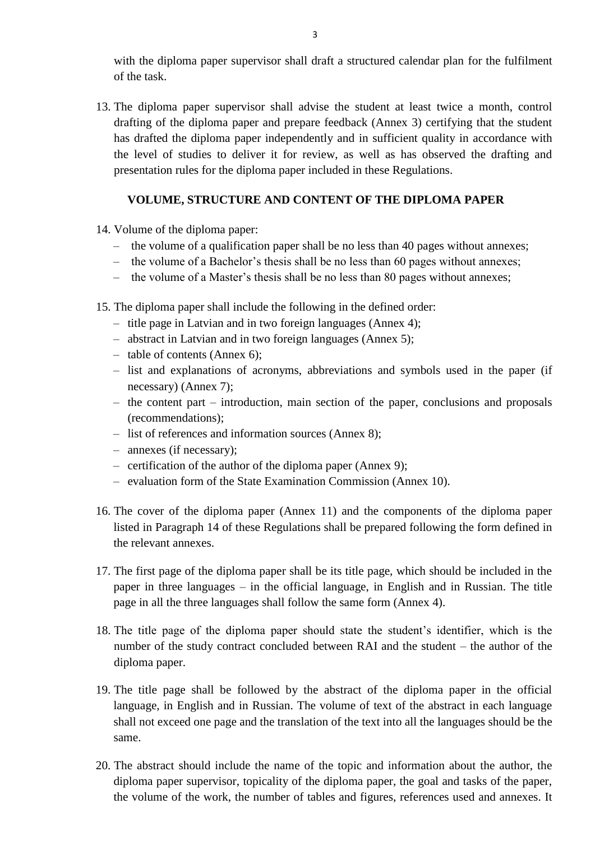with the diploma paper supervisor shall draft a structured calendar plan for the fulfilment of the task.

13. The diploma paper supervisor shall advise the student at least twice a month, control drafting of the diploma paper and prepare feedback (Annex 3) certifying that the student has drafted the diploma paper independently and in sufficient quality in accordance with the level of studies to deliver it for review, as well as has observed the drafting and presentation rules for the diploma paper included in these Regulations.

## **VOLUME, STRUCTURE AND CONTENT OF THE DIPLOMA PAPER**

- 14. Volume of the diploma paper:
	- the volume of a qualification paper shall be no less than 40 pages without annexes;
	- the volume of a Bachelor's thesis shall be no less than 60 pages without annexes;
	- the volume of a Master's thesis shall be no less than 80 pages without annexes;

15. The diploma paper shall include the following in the defined order:

- title page in Latvian and in two foreign languages (Annex 4);
- abstract in Latvian and in two foreign languages (Annex 5);
- table of contents (Annex 6);
- list and explanations of acronyms, abbreviations and symbols used in the paper (if necessary) (Annex 7);
- the content part introduction, main section of the paper, conclusions and proposals (recommendations);
- list of references and information sources (Annex 8);
- annexes (if necessary);
- certification of the author of the diploma paper (Annex 9);
- evaluation form of the State Examination Commission (Annex 10).
- 16. The cover of the diploma paper (Annex 11) and the components of the diploma paper listed in Paragraph 14 of these Regulations shall be prepared following the form defined in the relevant annexes.
- 17. The first page of the diploma paper shall be its title page, which should be included in the paper in three languages – in the official language, in English and in Russian. The title page in all the three languages shall follow the same form (Annex 4).
- 18. The title page of the diploma paper should state the student's identifier, which is the number of the study contract concluded between RAI and the student – the author of the diploma paper.
- 19. The title page shall be followed by the abstract of the diploma paper in the official language, in English and in Russian. The volume of text of the abstract in each language shall not exceed one page and the translation of the text into all the languages should be the same.
- 20. The abstract should include the name of the topic and information about the author, the diploma paper supervisor, topicality of the diploma paper, the goal and tasks of the paper, the volume of the work, the number of tables and figures, references used and annexes. It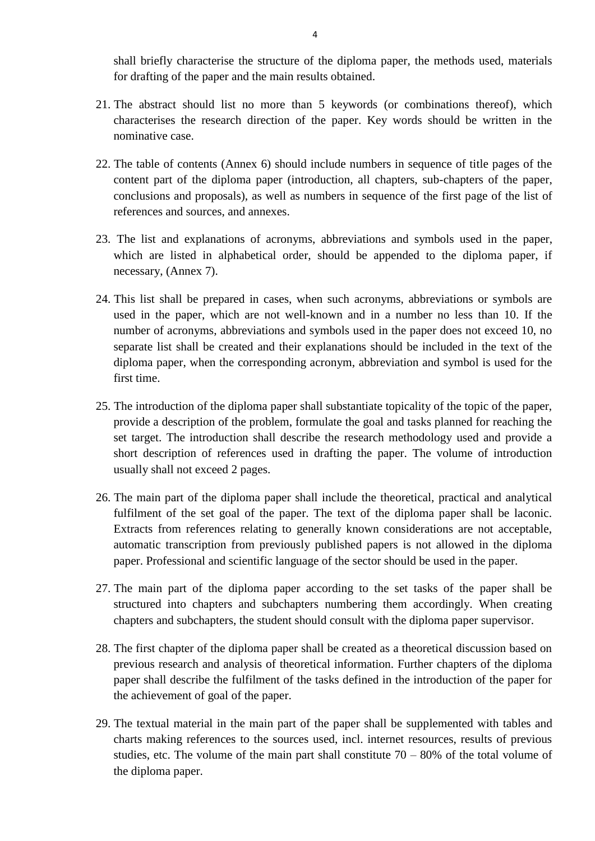shall briefly characterise the structure of the diploma paper, the methods used, materials for drafting of the paper and the main results obtained.

- 21. The abstract should list no more than 5 keywords (or combinations thereof), which characterises the research direction of the paper. Key words should be written in the nominative case.
- 22. The table of contents (Annex 6) should include numbers in sequence of title pages of the content part of the diploma paper (introduction, all chapters, sub-chapters of the paper, conclusions and proposals), as well as numbers in sequence of the first page of the list of references and sources, and annexes.
- 23. The list and explanations of acronyms, abbreviations and symbols used in the paper, which are listed in alphabetical order, should be appended to the diploma paper, if necessary, (Annex 7).
- 24. This list shall be prepared in cases, when such acronyms, abbreviations or symbols are used in the paper, which are not well-known and in a number no less than 10. If the number of acronyms, abbreviations and symbols used in the paper does not exceed 10, no separate list shall be created and their explanations should be included in the text of the diploma paper, when the corresponding acronym, abbreviation and symbol is used for the first time.
- 25. The introduction of the diploma paper shall substantiate topicality of the topic of the paper, provide a description of the problem, formulate the goal and tasks planned for reaching the set target. The introduction shall describe the research methodology used and provide a short description of references used in drafting the paper. The volume of introduction usually shall not exceed 2 pages.
- 26. The main part of the diploma paper shall include the theoretical, practical and analytical fulfilment of the set goal of the paper. The text of the diploma paper shall be laconic. Extracts from references relating to generally known considerations are not acceptable, automatic transcription from previously published papers is not allowed in the diploma paper. Professional and scientific language of the sector should be used in the paper.
- 27. The main part of the diploma paper according to the set tasks of the paper shall be structured into chapters and subchapters numbering them accordingly. When creating chapters and subchapters, the student should consult with the diploma paper supervisor.
- 28. The first chapter of the diploma paper shall be created as a theoretical discussion based on previous research and analysis of theoretical information. Further chapters of the diploma paper shall describe the fulfilment of the tasks defined in the introduction of the paper for the achievement of goal of the paper.
- 29. The textual material in the main part of the paper shall be supplemented with tables and charts making references to the sources used, incl. internet resources, results of previous studies, etc. The volume of the main part shall constitute  $70 - 80\%$  of the total volume of the diploma paper.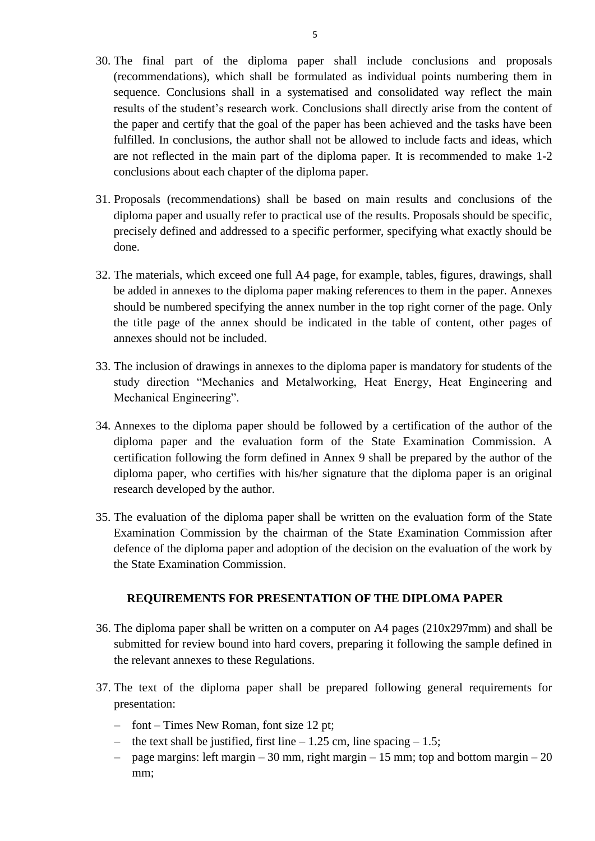- 30. The final part of the diploma paper shall include conclusions and proposals (recommendations), which shall be formulated as individual points numbering them in sequence. Conclusions shall in a systematised and consolidated way reflect the main results of the student's research work. Conclusions shall directly arise from the content of the paper and certify that the goal of the paper has been achieved and the tasks have been fulfilled. In conclusions, the author shall not be allowed to include facts and ideas, which are not reflected in the main part of the diploma paper. It is recommended to make 1-2 conclusions about each chapter of the diploma paper.
- 31. Proposals (recommendations) shall be based on main results and conclusions of the diploma paper and usually refer to practical use of the results. Proposals should be specific, precisely defined and addressed to a specific performer, specifying what exactly should be done.
- 32. The materials, which exceed one full A4 page, for example, tables, figures, drawings, shall be added in annexes to the diploma paper making references to them in the paper. Annexes should be numbered specifying the annex number in the top right corner of the page. Only the title page of the annex should be indicated in the table of content, other pages of annexes should not be included.
- 33. The inclusion of drawings in annexes to the diploma paper is mandatory for students of the study direction "Mechanics and Metalworking, Heat Energy, Heat Engineering and Mechanical Engineering".
- 34. Annexes to the diploma paper should be followed by a certification of the author of the diploma paper and the evaluation form of the State Examination Commission. A certification following the form defined in Annex 9 shall be prepared by the author of the diploma paper, who certifies with his/her signature that the diploma paper is an original research developed by the author.
- 35. The evaluation of the diploma paper shall be written on the evaluation form of the State Examination Commission by the chairman of the State Examination Commission after defence of the diploma paper and adoption of the decision on the evaluation of the work by the State Examination Commission.

### **REQUIREMENTS FOR PRESENTATION OF THE DIPLOMA PAPER**

- 36. The diploma paper shall be written on a computer on A4 pages (210x297mm) and shall be submitted for review bound into hard covers, preparing it following the sample defined in the relevant annexes to these Regulations.
- 37. The text of the diploma paper shall be prepared following general requirements for presentation:
	- font Times New Roman, font size 12 pt;
	- the text shall be justified, first line 1.25 cm, line spacing 1.5;
	- page margins: left margin 30 mm, right margin 15 mm; top and bottom margin 20 mm: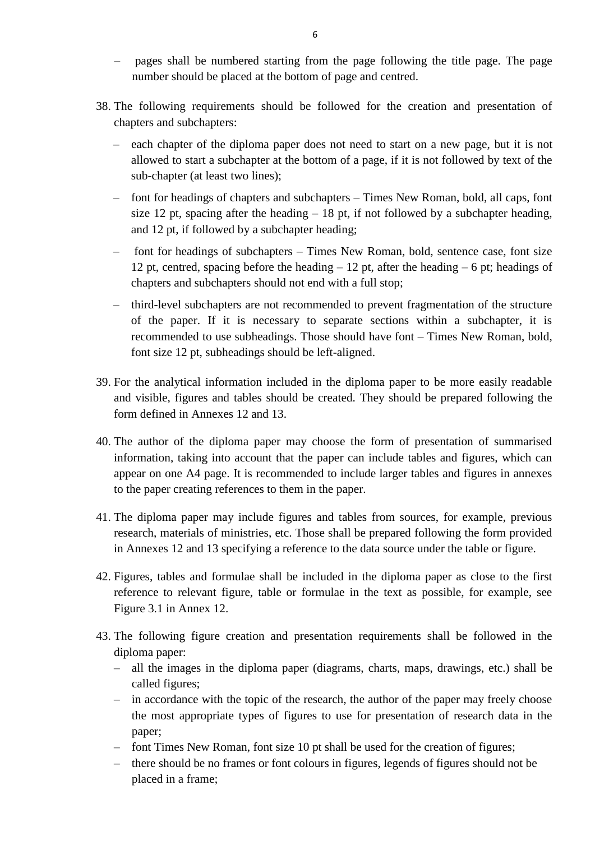- pages shall be numbered starting from the page following the title page. The page number should be placed at the bottom of page and centred.
- 38. The following requirements should be followed for the creation and presentation of chapters and subchapters:
	- each chapter of the diploma paper does not need to start on a new page, but it is not allowed to start a subchapter at the bottom of a page, if it is not followed by text of the sub-chapter (at least two lines);
	- font for headings of chapters and subchapters Times New Roman, bold, all caps, font size 12 pt, spacing after the heading  $-18$  pt, if not followed by a subchapter heading. and 12 pt, if followed by a subchapter heading;
	- font for headings of subchapters Times New Roman, bold, sentence case, font size 12 pt, centred, spacing before the heading  $-12$  pt, after the heading  $-6$  pt; headings of chapters and subchapters should not end with a full stop;
	- third-level subchapters are not recommended to prevent fragmentation of the structure of the paper. If it is necessary to separate sections within a subchapter, it is recommended to use subheadings. Those should have font – Times New Roman, bold, font size 12 pt, subheadings should be left-aligned.
- 39. For the analytical information included in the diploma paper to be more easily readable and visible, figures and tables should be created. They should be prepared following the form defined in Annexes 12 and 13.
- 40. The author of the diploma paper may choose the form of presentation of summarised information, taking into account that the paper can include tables and figures, which can appear on one A4 page. It is recommended to include larger tables and figures in annexes to the paper creating references to them in the paper.
- 41. The diploma paper may include figures and tables from sources, for example, previous research, materials of ministries, etc. Those shall be prepared following the form provided in Annexes 12 and 13 specifying a reference to the data source under the table or figure.
- 42. Figures, tables and formulae shall be included in the diploma paper as close to the first reference to relevant figure, table or formulae in the text as possible, for example, see Figure 3.1 in Annex 12.
- 43. The following figure creation and presentation requirements shall be followed in the diploma paper:
	- all the images in the diploma paper (diagrams, charts, maps, drawings, etc.) shall be called figures;
	- in accordance with the topic of the research, the author of the paper may freely choose the most appropriate types of figures to use for presentation of research data in the paper;
	- font Times New Roman, font size 10 pt shall be used for the creation of figures;
	- there should be no frames or font colours in figures, legends of figures should not be placed in a frame;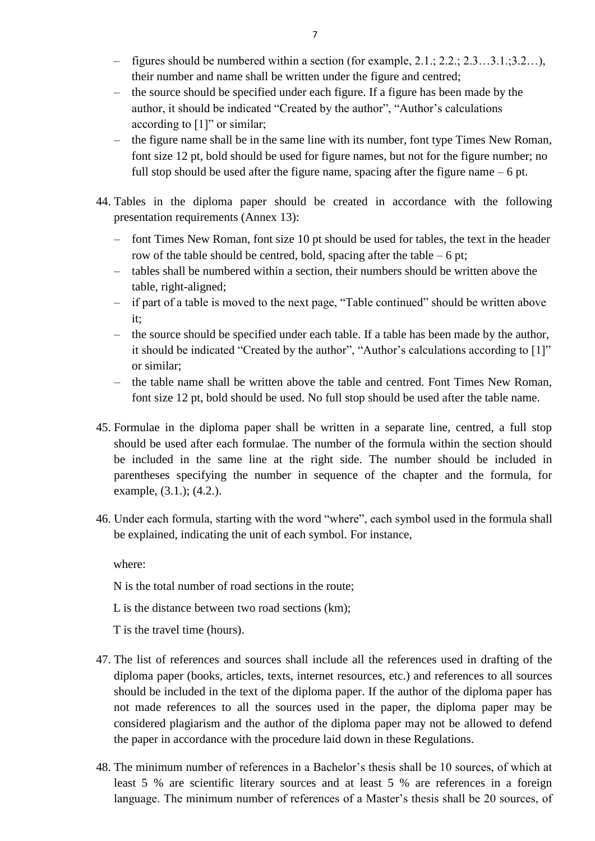- figures should be numbered within a section (for example, 2.1.; 2.2.; 2.3…3.1.;3.2…), their number and name shall be written under the figure and centred;
- the source should be specified under each figure. If a figure has been made by the author, it should be indicated "Created by the author", "Author's calculations according to  $[1]$ " or similar;
- the figure name shall be in the same line with its number, font type Times New Roman, font size 12 pt, bold should be used for figure names, but not for the figure number; no full stop should be used after the figure name, spacing after the figure name – 6 pt.
- 44. Tables in the diploma paper should be created in accordance with the following presentation requirements (Annex 13):
	- font Times New Roman, font size 10 pt should be used for tables, the text in the header row of the table should be centred, bold, spacing after the table – 6 pt;
	- tables shall be numbered within a section, their numbers should be written above the table, right-aligned;
	- if part of a table is moved to the next page, "Table continued" should be written above it;
	- the source should be specified under each table. If a table has been made by the author, it should be indicated "Created by the author", "Author's calculations according to [1]" or similar;
	- the table name shall be written above the table and centred. Font Times New Roman, font size 12 pt, bold should be used. No full stop should be used after the table name.
- 45. Formulae in the diploma paper shall be written in a separate line, centred, a full stop should be used after each formulae. The number of the formula within the section should be included in the same line at the right side. The number should be included in parentheses specifying the number in sequence of the chapter and the formula, for example, (3.1.); (4.2.).
- 46. Under each formula, starting with the word "where", each symbol used in the formula shall be explained, indicating the unit of each symbol. For instance,

where:

- N is the total number of road sections in the route;
- L is the distance between two road sections (km);

T is the travel time (hours).

- 47. The list of references and sources shall include all the references used in drafting of the diploma paper (books, articles, texts, internet resources, etc.) and references to all sources should be included in the text of the diploma paper. If the author of the diploma paper has not made references to all the sources used in the paper, the diploma paper may be considered plagiarism and the author of the diploma paper may not be allowed to defend the paper in accordance with the procedure laid down in these Regulations.
- 48. The minimum number of references in a Bachelor's thesis shall be 10 sources, of which at least 5 % are scientific literary sources and at least 5 % are references in a foreign language. The minimum number of references of a Master's thesis shall be 20 sources, of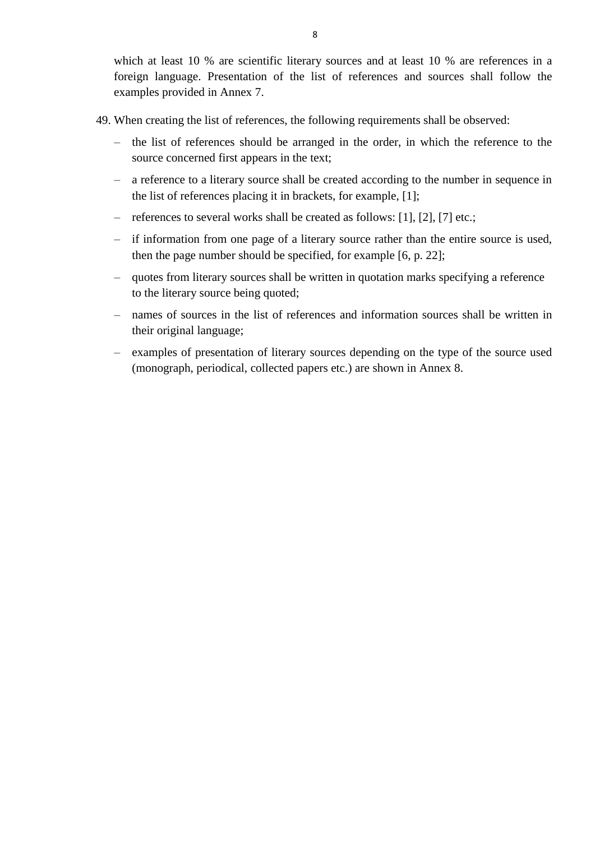which at least 10 % are scientific literary sources and at least 10 % are references in a foreign language. Presentation of the list of references and sources shall follow the examples provided in Annex 7.

- 49. When creating the list of references, the following requirements shall be observed:
	- the list of references should be arranged in the order, in which the reference to the source concerned first appears in the text;
	- a reference to a literary source shall be created according to the number in sequence in the list of references placing it in brackets, for example, [1];
	- references to several works shall be created as follows: [1], [2], [7] etc.;
	- if information from one page of a literary source rather than the entire source is used, then the page number should be specified, for example [6, p. 22];
	- quotes from literary sources shall be written in quotation marks specifying a reference to the literary source being quoted;
	- names of sources in the list of references and information sources shall be written in their original language;
	- examples of presentation of literary sources depending on the type of the source used (monograph, periodical, collected papers etc.) are shown in Annex 8.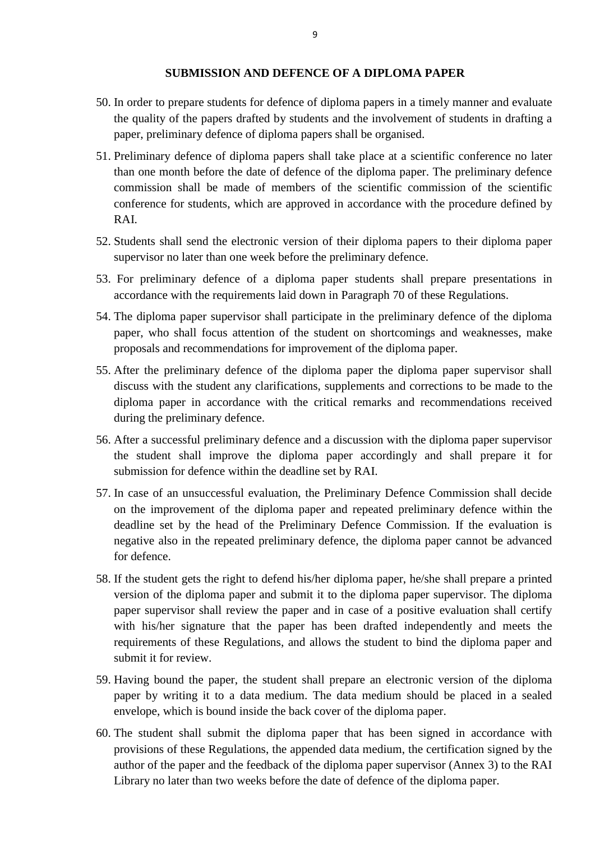#### **SUBMISSION AND DEFENCE OF A DIPLOMA PAPER**

- 50. In order to prepare students for defence of diploma papers in a timely manner and evaluate the quality of the papers drafted by students and the involvement of students in drafting a paper, preliminary defence of diploma papers shall be organised.
- 51. Preliminary defence of diploma papers shall take place at a scientific conference no later than one month before the date of defence of the diploma paper. The preliminary defence commission shall be made of members of the scientific commission of the scientific conference for students, which are approved in accordance with the procedure defined by RAI.
- 52. Students shall send the electronic version of their diploma papers to their diploma paper supervisor no later than one week before the preliminary defence.
- 53. For preliminary defence of a diploma paper students shall prepare presentations in accordance with the requirements laid down in Paragraph 70 of these Regulations.
- 54. The diploma paper supervisor shall participate in the preliminary defence of the diploma paper, who shall focus attention of the student on shortcomings and weaknesses, make proposals and recommendations for improvement of the diploma paper.
- 55. After the preliminary defence of the diploma paper the diploma paper supervisor shall discuss with the student any clarifications, supplements and corrections to be made to the diploma paper in accordance with the critical remarks and recommendations received during the preliminary defence.
- 56. After a successful preliminary defence and a discussion with the diploma paper supervisor the student shall improve the diploma paper accordingly and shall prepare it for submission for defence within the deadline set by RAI.
- 57. In case of an unsuccessful evaluation, the Preliminary Defence Commission shall decide on the improvement of the diploma paper and repeated preliminary defence within the deadline set by the head of the Preliminary Defence Commission. If the evaluation is negative also in the repeated preliminary defence, the diploma paper cannot be advanced for defence.
- 58. If the student gets the right to defend his/her diploma paper, he/she shall prepare a printed version of the diploma paper and submit it to the diploma paper supervisor. The diploma paper supervisor shall review the paper and in case of a positive evaluation shall certify with his/her signature that the paper has been drafted independently and meets the requirements of these Regulations, and allows the student to bind the diploma paper and submit it for review.
- 59. Having bound the paper, the student shall prepare an electronic version of the diploma paper by writing it to a data medium. The data medium should be placed in a sealed envelope, which is bound inside the back cover of the diploma paper.
- 60. The student shall submit the diploma paper that has been signed in accordance with provisions of these Regulations, the appended data medium, the certification signed by the author of the paper and the feedback of the diploma paper supervisor (Annex 3) to the RAI Library no later than two weeks before the date of defence of the diploma paper.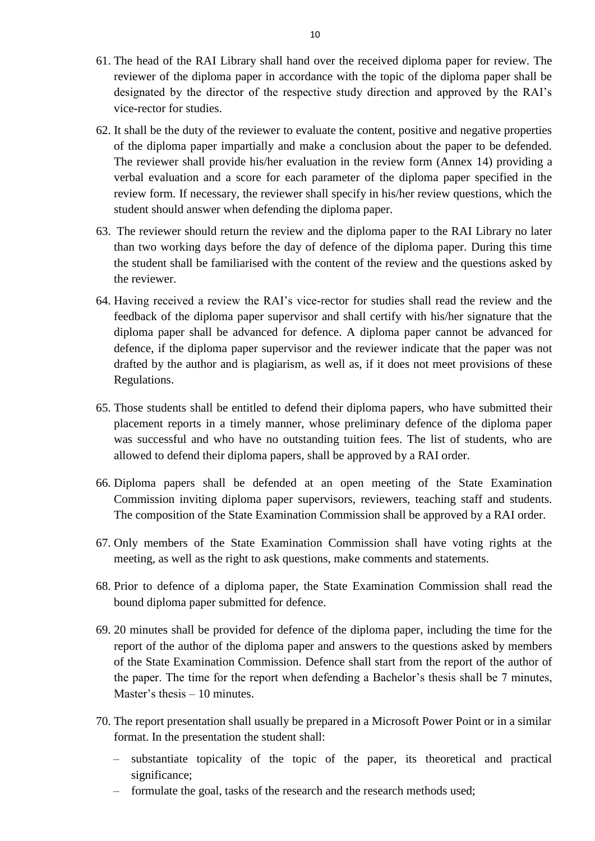- 61. The head of the RAI Library shall hand over the received diploma paper for review. The reviewer of the diploma paper in accordance with the topic of the diploma paper shall be designated by the director of the respective study direction and approved by the RAI's vice-rector for studies.
- 62. It shall be the duty of the reviewer to evaluate the content, positive and negative properties of the diploma paper impartially and make a conclusion about the paper to be defended. The reviewer shall provide his/her evaluation in the review form (Annex 14) providing a verbal evaluation and a score for each parameter of the diploma paper specified in the review form. If necessary, the reviewer shall specify in his/her review questions, which the student should answer when defending the diploma paper.
- 63. The reviewer should return the review and the diploma paper to the RAI Library no later than two working days before the day of defence of the diploma paper. During this time the student shall be familiarised with the content of the review and the questions asked by the reviewer.
- 64. Having received a review the RAI's vice-rector for studies shall read the review and the feedback of the diploma paper supervisor and shall certify with his/her signature that the diploma paper shall be advanced for defence. A diploma paper cannot be advanced for defence, if the diploma paper supervisor and the reviewer indicate that the paper was not drafted by the author and is plagiarism, as well as, if it does not meet provisions of these Regulations.
- 65. Those students shall be entitled to defend their diploma papers, who have submitted their placement reports in a timely manner, whose preliminary defence of the diploma paper was successful and who have no outstanding tuition fees. The list of students, who are allowed to defend their diploma papers, shall be approved by a RAI order.
- 66. Diploma papers shall be defended at an open meeting of the State Examination Commission inviting diploma paper supervisors, reviewers, teaching staff and students. The composition of the State Examination Commission shall be approved by a RAI order.
- 67. Only members of the State Examination Commission shall have voting rights at the meeting, as well as the right to ask questions, make comments and statements.
- 68. Prior to defence of a diploma paper, the State Examination Commission shall read the bound diploma paper submitted for defence.
- 69. 20 minutes shall be provided for defence of the diploma paper, including the time for the report of the author of the diploma paper and answers to the questions asked by members of the State Examination Commission. Defence shall start from the report of the author of the paper. The time for the report when defending a Bachelor's thesis shall be 7 minutes, Master's thesis – 10 minutes.
- 70. The report presentation shall usually be prepared in a Microsoft Power Point or in a similar format. In the presentation the student shall:
	- substantiate topicality of the topic of the paper, its theoretical and practical significance;
	- formulate the goal, tasks of the research and the research methods used;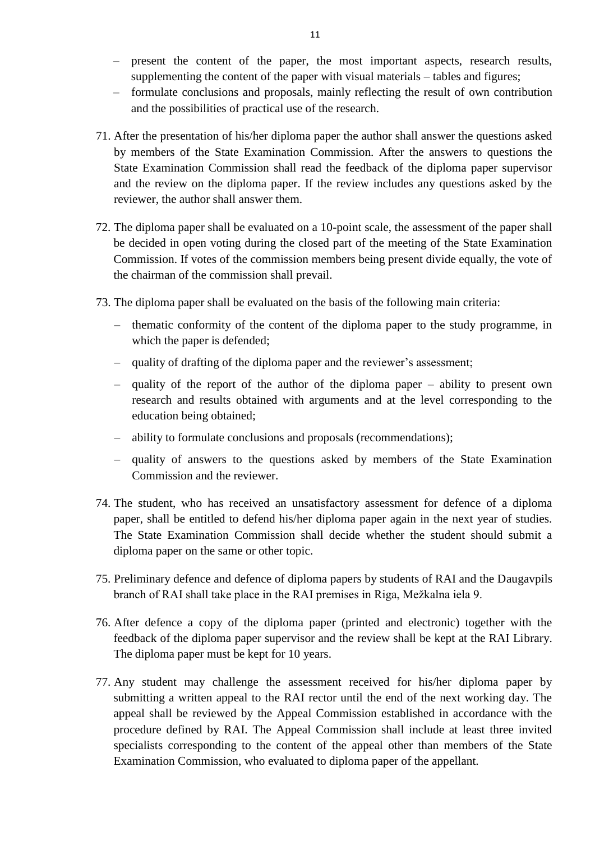- present the content of the paper, the most important aspects, research results, supplementing the content of the paper with visual materials – tables and figures;
- formulate conclusions and proposals, mainly reflecting the result of own contribution and the possibilities of practical use of the research.
- 71. After the presentation of his/her diploma paper the author shall answer the questions asked by members of the State Examination Commission. After the answers to questions the State Examination Commission shall read the feedback of the diploma paper supervisor and the review on the diploma paper. If the review includes any questions asked by the reviewer, the author shall answer them.
- 72. The diploma paper shall be evaluated on a 10-point scale, the assessment of the paper shall be decided in open voting during the closed part of the meeting of the State Examination Commission. If votes of the commission members being present divide equally, the vote of the chairman of the commission shall prevail.
- 73. The diploma paper shall be evaluated on the basis of the following main criteria:
	- thematic conformity of the content of the diploma paper to the study programme, in which the paper is defended;
	- quality of drafting of the diploma paper and the reviewer's assessment;
	- quality of the report of the author of the diploma paper ability to present own research and results obtained with arguments and at the level corresponding to the education being obtained;
	- ability to formulate conclusions and proposals (recommendations);
	- quality of answers to the questions asked by members of the State Examination Commission and the reviewer.
- 74. The student, who has received an unsatisfactory assessment for defence of a diploma paper, shall be entitled to defend his/her diploma paper again in the next year of studies. The State Examination Commission shall decide whether the student should submit a diploma paper on the same or other topic.
- 75. Preliminary defence and defence of diploma papers by students of RAI and the Daugavpils branch of RAI shall take place in the RAI premises in Riga, Mežkalna iela 9.
- 76. After defence a copy of the diploma paper (printed and electronic) together with the feedback of the diploma paper supervisor and the review shall be kept at the RAI Library. The diploma paper must be kept for 10 years.
- 77. Any student may challenge the assessment received for his/her diploma paper by submitting a written appeal to the RAI rector until the end of the next working day. The appeal shall be reviewed by the Appeal Commission established in accordance with the procedure defined by RAI. The Appeal Commission shall include at least three invited specialists corresponding to the content of the appeal other than members of the State Examination Commission, who evaluated to diploma paper of the appellant.